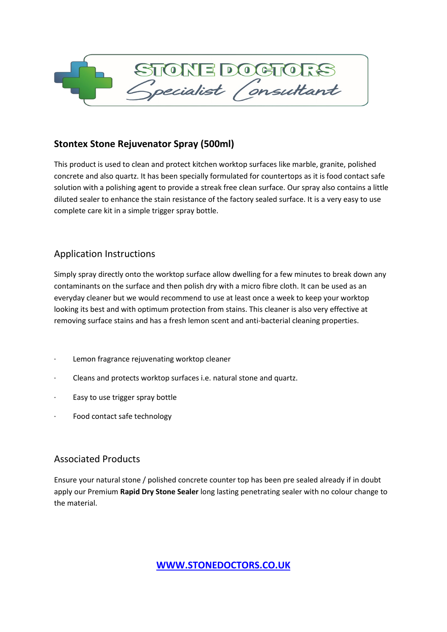

# **Stontex Stone Rejuvenator Spray (500ml)**

This product is used to clean and protect kitchen worktop surfaces like marble, granite, polished concrete and also quartz. It has been specially formulated for countertops as it is food contact safe solution with a polishing agent to provide a streak free clean surface. Our spray also contains a little diluted sealer to enhance the stain resistance of the factory sealed surface. It is a very easy to use complete care kit in a simple trigger spray bottle.

# Application Instructions

Simply spray directly onto the worktop surface allow dwelling for a few minutes to break down any contaminants on the surface and then polish dry with a micro fibre cloth. It can be used as an everyday cleaner but we would recommend to use at least once a week to keep your worktop looking its best and with optimum protection from stains. This cleaner is also very effective at removing surface stains and has a fresh lemon scent and anti-bacterial cleaning properties.

- · Lemon fragrance rejuvenating worktop cleaner
- Cleans and protects worktop surfaces i.e. natural stone and quartz.
- · Easy to use trigger spray bottle
- Food contact safe technology

## Associated Products

Ensure your natural stone / polished concrete counter top has been pre sealed already if in doubt apply our Premium **Rapid Dry Stone Sealer** long lasting penetrating sealer with no colour change to the material.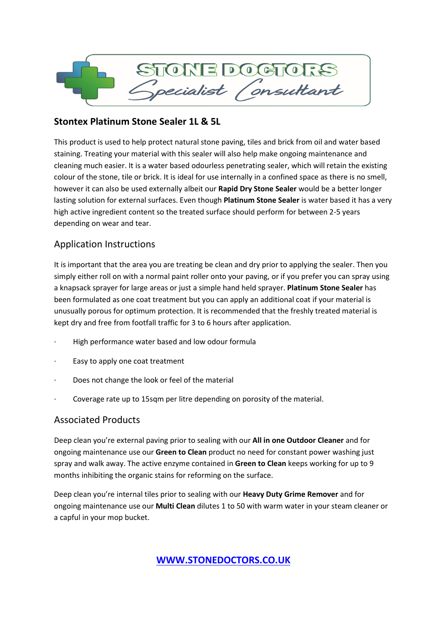

## **Stontex Platinum Stone Sealer 1L & 5L**

This product is used to help protect natural stone paving, tiles and brick from oil and water based staining. Treating your material with this sealer will also help make ongoing maintenance and cleaning much easier. It is a water based odourless penetrating sealer, which will retain the existing colour of the stone, tile or brick. It is ideal for use internally in a confined space as there is no smell, however it can also be used externally albeit our **Rapid Dry Stone Sealer** would be a better longer lasting solution for external surfaces. Even though **Platinum Stone Sealer** is water based it has a very high active ingredient content so the treated surface should perform for between 2-5 years depending on wear and tear.

## Application Instructions

It is important that the area you are treating be clean and dry prior to applying the sealer. Then you simply either roll on with a normal paint roller onto your paving, or if you prefer you can spray using a knapsack sprayer for large areas or just a simple hand held sprayer. **Platinum Stone Sealer** has been formulated as one coat treatment but you can apply an additional coat if your material is unusually porous for optimum protection. It is recommended that the freshly treated material is kept dry and free from footfall traffic for 3 to 6 hours after application.

- · High performance water based and low odour formula
- Easy to apply one coat treatment
- Does not change the look or feel of the material
- Coverage rate up to 15sqm per litre depending on porosity of the material.

## Associated Products

Deep clean you're external paving prior to sealing with our **All in one Outdoor Cleaner** and for ongoing maintenance use our **Green to Clean** product no need for constant power washing just spray and walk away. The active enzyme contained in **Green to Clean** keeps working for up to 9 months inhibiting the organic stains for reforming on the surface.

Deep clean you're internal tiles prior to sealing with our **Heavy Duty Grime Remover** and for ongoing maintenance use our **Multi Clean** dilutes 1 to 50 with warm water in your steam cleaner or a capful in your mop bucket.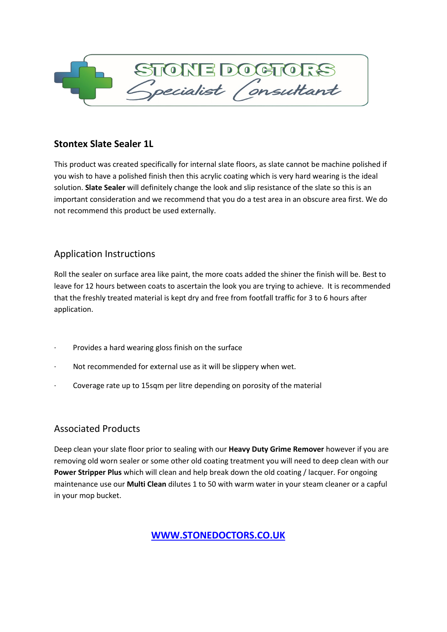

## **Stontex Slate Sealer 1L**

This product was created specifically for internal slate floors, as slate cannot be machine polished if you wish to have a polished finish then this acrylic coating which is very hard wearing is the ideal solution. **Slate Sealer** will definitely change the look and slip resistance of the slate so this is an important consideration and we recommend that you do a test area in an obscure area first. We do not recommend this product be used externally.

## Application Instructions

Roll the sealer on surface area like paint, the more coats added the shiner the finish will be. Best to leave for 12 hours between coats to ascertain the look you are trying to achieve. It is recommended that the freshly treated material is kept dry and free from footfall traffic for 3 to 6 hours after application.

- Provides a hard wearing gloss finish on the surface
- Not recommended for external use as it will be slippery when wet.
- Coverage rate up to 15sqm per litre depending on porosity of the material

# Associated Products

Deep clean your slate floor prior to sealing with our **Heavy Duty Grime Remover** however if you are removing old worn sealer or some other old coating treatment you will need to deep clean with our **Power Stripper Plus** which will clean and help break down the old coating / lacquer. For ongoing maintenance use our **Multi Clean** dilutes 1 to 50 with warm water in your steam cleaner or a capful in your mop bucket.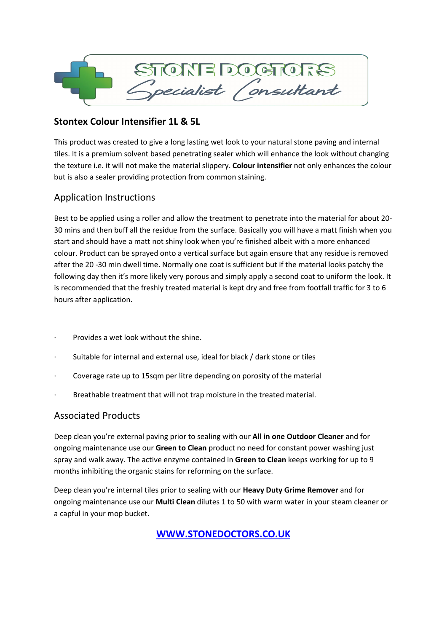

## **Stontex Colour Intensifier 1L & 5L**

This product was created to give a long lasting wet look to your natural stone paving and internal tiles. It is a premium solvent based penetrating sealer which will enhance the look without changing the texture i.e. it will not make the material slippery. **Colour intensifier** not only enhances the colour but is also a sealer providing protection from common staining.

## Application Instructions

Best to be applied using a roller and allow the treatment to penetrate into the material for about 20- 30 mins and then buff all the residue from the surface. Basically you will have a matt finish when you start and should have a matt not shiny look when you're finished albeit with a more enhanced colour. Product can be sprayed onto a vertical surface but again ensure that any residue is removed after the 20 -30 min dwell time. Normally one coat is sufficient but if the material looks patchy the following day then it's more likely very porous and simply apply a second coat to uniform the look. It is recommended that the freshly treated material is kept dry and free from footfall traffic for 3 to 6 hours after application.

- · Provides a wet look without the shine.
- Suitable for internal and external use, ideal for black / dark stone or tiles
- Coverage rate up to 15sqm per litre depending on porosity of the material
- Breathable treatment that will not trap moisture in the treated material.

## Associated Products

Deep clean you're external paving prior to sealing with our **All in one Outdoor Cleaner** and for ongoing maintenance use our **Green to Clean** product no need for constant power washing just spray and walk away. The active enzyme contained in **Green to Clean** keeps working for up to 9 months inhibiting the organic stains for reforming on the surface.

Deep clean you're internal tiles prior to sealing with our **Heavy Duty Grime Remover** and for ongoing maintenance use our **Multi Clean** dilutes 1 to 50 with warm water in your steam cleaner or a capful in your mop bucket.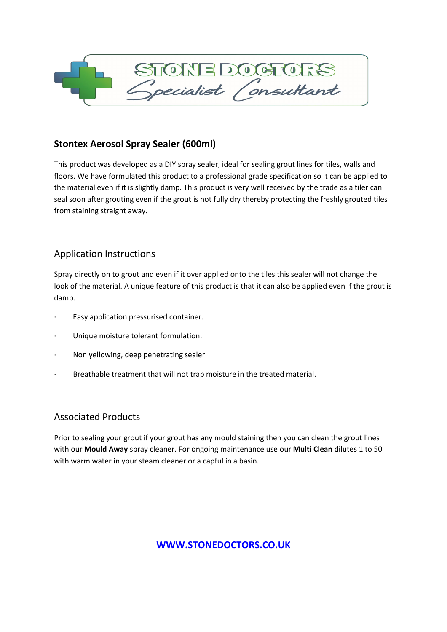

## **Stontex Aerosol Spray Sealer (600ml)**

This product was developed as a DIY spray sealer, ideal for sealing grout lines for tiles, walls and floors. We have formulated this product to a professional grade specification so it can be applied to the material even if it is slightly damp. This product is very well received by the trade as a tiler can seal soon after grouting even if the grout is not fully dry thereby protecting the freshly grouted tiles from staining straight away.

## Application Instructions

Spray directly on to grout and even if it over applied onto the tiles this sealer will not change the look of the material. A unique feature of this product is that it can also be applied even if the grout is damp.

- · Easy application pressurised container.
- Unique moisture tolerant formulation.
- · Non yellowing, deep penetrating sealer
- Breathable treatment that will not trap moisture in the treated material.

## Associated Products

Prior to sealing your grout if your grout has any mould staining then you can clean the grout lines with our **Mould Away** spray cleaner. For ongoing maintenance use our **Multi Clean** dilutes 1 to 50 with warm water in your steam cleaner or a capful in a basin.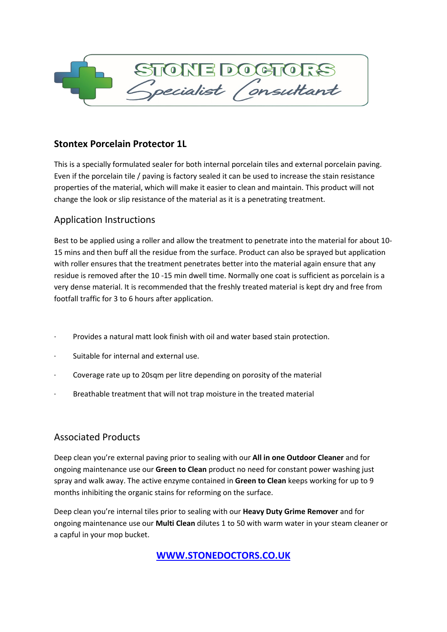

## **Stontex Porcelain Protector 1L**

This is a specially formulated sealer for both internal porcelain tiles and external porcelain paving. Even if the porcelain tile / paving is factory sealed it can be used to increase the stain resistance properties of the material, which will make it easier to clean and maintain. This product will not change the look or slip resistance of the material as it is a penetrating treatment.

## Application Instructions

Best to be applied using a roller and allow the treatment to penetrate into the material for about 10- 15 mins and then buff all the residue from the surface. Product can also be sprayed but application with roller ensures that the treatment penetrates better into the material again ensure that any residue is removed after the 10 -15 min dwell time. Normally one coat is sufficient as porcelain is a very dense material. It is recommended that the freshly treated material is kept dry and free from footfall traffic for 3 to 6 hours after application.

- · Provides a natural matt look finish with oil and water based stain protection.
- · Suitable for internal and external use.
- Coverage rate up to 20sqm per litre depending on porosity of the material
- Breathable treatment that will not trap moisture in the treated material

## Associated Products

Deep clean you're external paving prior to sealing with our **All in one Outdoor Cleaner** and for ongoing maintenance use our **Green to Clean** product no need for constant power washing just spray and walk away. The active enzyme contained in **Green to Clean** keeps working for up to 9 months inhibiting the organic stains for reforming on the surface.

Deep clean you're internal tiles prior to sealing with our **Heavy Duty Grime Remover** and for ongoing maintenance use our **Multi Clean** dilutes 1 to 50 with warm water in your steam cleaner or a capful in your mop bucket.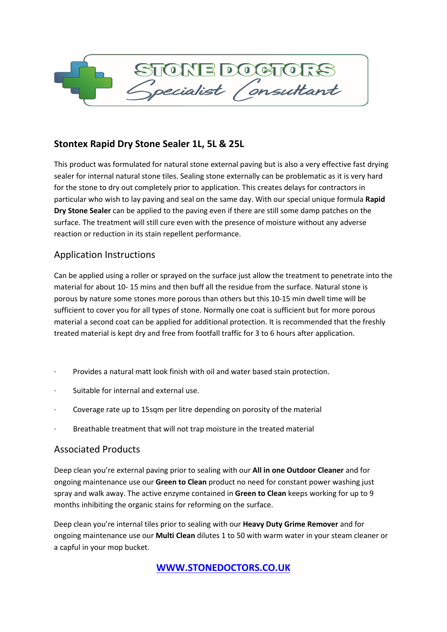

## **Stontex Rapid Dry Stone Sealer 1L, 5L & 25L**

This product was formulated for natural stone external paving but is also a very effective fast drying sealer for internal natural stone tiles. Sealing stone externally can be problematic as it is very hard for the stone to dry out completely prior to application. This creates delays for contractors in particular who wish to lay paving and seal on the same day. With our special unique formula **Rapid Dry Stone Sealer** can be applied to the paving even if there are still some damp patches on the surface. The treatment will still cure even with the presence of moisture without any adverse reaction or reduction in its stain repellent performance.

## Application Instructions

Can be applied using a roller or sprayed on the surface just allow the treatment to penetrate into the material for about 10- 15 mins and then buff all the residue from the surface. Natural stone is porous by nature some stones more porous than others but this 10-15 min dwell time will be sufficient to cover you for all types of stone. Normally one coat is sufficient but for more porous material a second coat can be applied for additional protection. It is recommended that the freshly treated material is kept dry and free from footfall traffic for 3 to 6 hours after application.

- Provides a natural matt look finish with oil and water based stain protection.
- · Suitable for internal and external use.
- Coverage rate up to 15sqm per litre depending on porosity of the material
- Breathable treatment that will not trap moisture in the treated material

### Associated Products

Deep clean you're external paving prior to sealing with our **All in one Outdoor Cleaner** and for ongoing maintenance use our **Green to Clean** product no need for constant power washing just spray and walk away. The active enzyme contained in **Green to Clean** keeps working for up to 9 months inhibiting the organic stains for reforming on the surface.

Deep clean you're internal tiles prior to sealing with our **Heavy Duty Grime Remover** and for ongoing maintenance use our **Multi Clean** dilutes 1 to 50 with warm water in your steam cleaner or a capful in your mop bucket.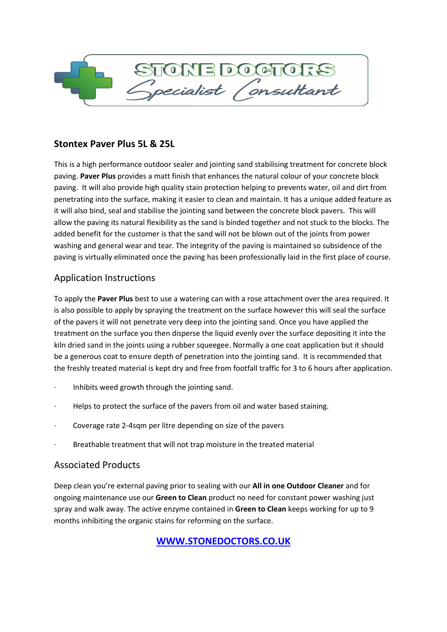

## **Stontex Paver Plus 5L & 25L**

This is a high performance outdoor sealer and jointing sand stabilising treatment for concrete block paving. **Paver Plus** provides a matt finish that enhances the natural colour of your concrete block paving. It will also provide high quality stain protection helping to prevents water, oil and dirt from penetrating into the surface, making it easier to clean and maintain. It has a unique added feature as it will also bind, seal and stabilise the jointing sand between the concrete block pavers. This will allow the paving its natural flexibility as the sand is binded together and not stuck to the blocks. The added benefit for the customer is that the sand will not be blown out of the joints from power washing and general wear and tear. The integrity of the paving is maintained so subsidence of the paving is virtually eliminated once the paving has been professionally laid in the first place of course.

## Application Instructions

To apply the **Paver Plus** best to use a watering can with a rose attachment over the area required. It is also possible to apply by spraying the treatment on the surface however this will seal the surface of the pavers it will not penetrate very deep into the jointing sand. Once you have applied the treatment on the surface you then disperse the liquid evenly over the surface depositing it into the kiln dried sand in the joints using a rubber squeegee. Normally a one coat application but it should be a generous coat to ensure depth of penetration into the jointing sand. It is recommended that the freshly treated material is kept dry and free from footfall traffic for 3 to 6 hours after application.

- · Inhibits weed growth through the jointing sand.
- Helps to protect the surface of the pavers from oil and water based staining.
- Coverage rate 2-4sqm per litre depending on size of the pavers
- Breathable treatment that will not trap moisture in the treated material

## Associated Products

Deep clean you're external paving prior to sealing with our **All in one Outdoor Cleaner** and for ongoing maintenance use our **Green to Clean** product no need for constant power washing just spray and walk away. The active enzyme contained in **Green to Clean** keeps working for up to 9 months inhibiting the organic stains for reforming on the surface.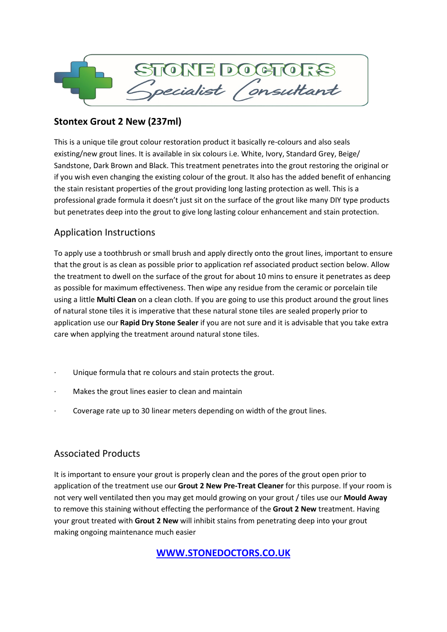

# **Stontex Grout 2 New (237ml)**

This is a unique tile grout colour restoration product it basically re-colours and also seals existing/new grout lines. It is available in six colours i.e. White, Ivory, Standard Grey, Beige/ Sandstone, Dark Brown and Black. This treatment penetrates into the grout restoring the original or if you wish even changing the existing colour of the grout. It also has the added benefit of enhancing the stain resistant properties of the grout providing long lasting protection as well. This is a professional grade formula it doesn't just sit on the surface of the grout like many DIY type products but penetrates deep into the grout to give long lasting colour enhancement and stain protection.

# Application Instructions

To apply use a toothbrush or small brush and apply directly onto the grout lines, important to ensure that the grout is as clean as possible prior to application ref associated product section below. Allow the treatment to dwell on the surface of the grout for about 10 mins to ensure it penetrates as deep as possible for maximum effectiveness. Then wipe any residue from the ceramic or porcelain tile using a little **Multi Clean** on a clean cloth. If you are going to use this product around the grout lines of natural stone tiles it is imperative that these natural stone tiles are sealed properly prior to application use our **Rapid Dry Stone Sealer** if you are not sure and it is advisable that you take extra care when applying the treatment around natural stone tiles.

- Unique formula that re colours and stain protects the grout.
- Makes the grout lines easier to clean and maintain
- Coverage rate up to 30 linear meters depending on width of the grout lines.

## Associated Products

It is important to ensure your grout is properly clean and the pores of the grout open prior to application of the treatment use our **Grout 2 New Pre-Treat Cleaner** for this purpose. If your room is not very well ventilated then you may get mould growing on your grout / tiles use our **Mould Away** to remove this staining without effecting the performance of the **Grout 2 New** treatment. Having your grout treated with **Grout 2 New** will inhibit stains from penetrating deep into your grout making ongoing maintenance much easier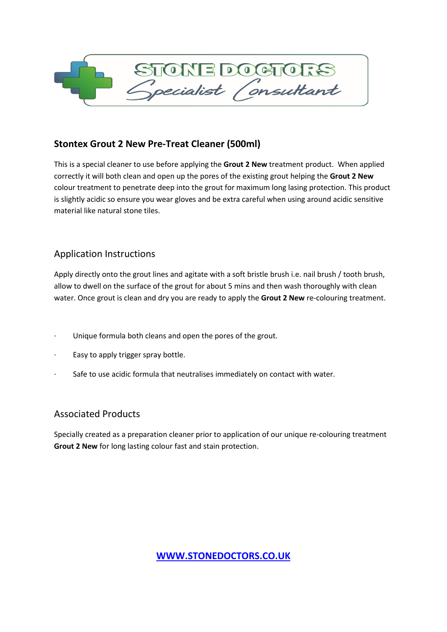

## **Stontex Grout 2 New Pre-Treat Cleaner (500ml)**

This is a special cleaner to use before applying the **Grout 2 New** treatment product. When applied correctly it will both clean and open up the pores of the existing grout helping the **Grout 2 New** colour treatment to penetrate deep into the grout for maximum long lasing protection. This product is slightly acidic so ensure you wear gloves and be extra careful when using around acidic sensitive material like natural stone tiles.

## Application Instructions

Apply directly onto the grout lines and agitate with a soft bristle brush i.e. nail brush / tooth brush, allow to dwell on the surface of the grout for about 5 mins and then wash thoroughly with clean water. Once grout is clean and dry you are ready to apply the **Grout 2 New** re-colouring treatment.

- Unique formula both cleans and open the pores of the grout.
- · Easy to apply trigger spray bottle.
- Safe to use acidic formula that neutralises immediately on contact with water.

## Associated Products

Specially created as a preparation cleaner prior to application of our unique re-colouring treatment **Grout 2 New** for long lasting colour fast and stain protection.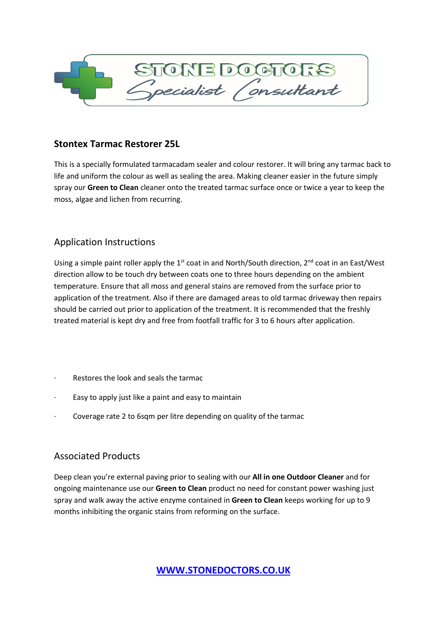

### **Stontex Tarmac Restorer 25L**

This is a specially formulated tarmacadam sealer and colour restorer. It will bring any tarmac back to life and uniform the colour as well as sealing the area. Making cleaner easier in the future simply spray our **Green to Clean** cleaner onto the treated tarmac surface once or twice a year to keep the moss, algae and lichen from recurring.

## Application Instructions

Using a simple paint roller apply the 1<sup>st</sup> coat in and North/South direction, 2<sup>nd</sup> coat in an East/West direction allow to be touch dry between coats one to three hours depending on the ambient temperature. Ensure that all moss and general stains are removed from the surface prior to application of the treatment. Also if there are damaged areas to old tarmac driveway then repairs should be carried out prior to application of the treatment. It is recommended that the freshly treated material is kept dry and free from footfall traffic for 3 to 6 hours after application.

- Restores the look and seals the tarmac
- Easy to apply just like a paint and easy to maintain
- Coverage rate 2 to 6sqm per litre depending on quality of the tarmac

# Associated Products

Deep clean you're external paving prior to sealing with our **All in one Outdoor Cleaner** and for ongoing maintenance use our **Green to Clean** product no need for constant power washing just spray and walk away the active enzyme contained in **Green to Clean** keeps working for up to 9 months inhibiting the organic stains from reforming on the surface.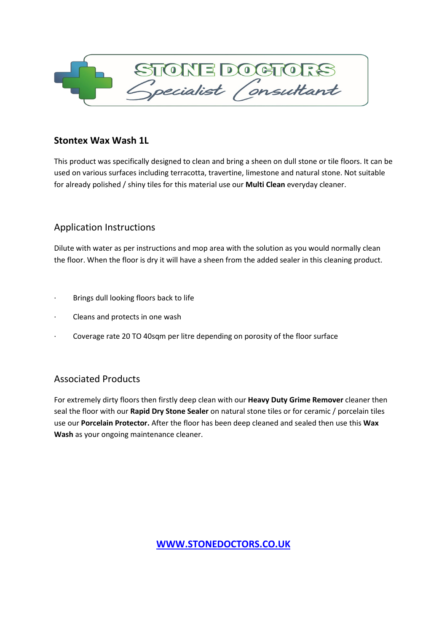

### **Stontex Wax Wash 1L**

This product was specifically designed to clean and bring a sheen on dull stone or tile floors. It can be used on various surfaces including terracotta, travertine, limestone and natural stone. Not suitable for already polished / shiny tiles for this material use our **Multi Clean** everyday cleaner.

## Application Instructions

Dilute with water as per instructions and mop area with the solution as you would normally clean the floor. When the floor is dry it will have a sheen from the added sealer in this cleaning product.

- Brings dull looking floors back to life
- Cleans and protects in one wash
- Coverage rate 20 TO 40sqm per litre depending on porosity of the floor surface

# Associated Products

For extremely dirty floors then firstly deep clean with our **Heavy Duty Grime Remover** cleaner then seal the floor with our **Rapid Dry Stone Sealer** on natural stone tiles or for ceramic / porcelain tiles use our **Porcelain Protector.** After the floor has been deep cleaned and sealed then use this **Wax Wash** as your ongoing maintenance cleaner.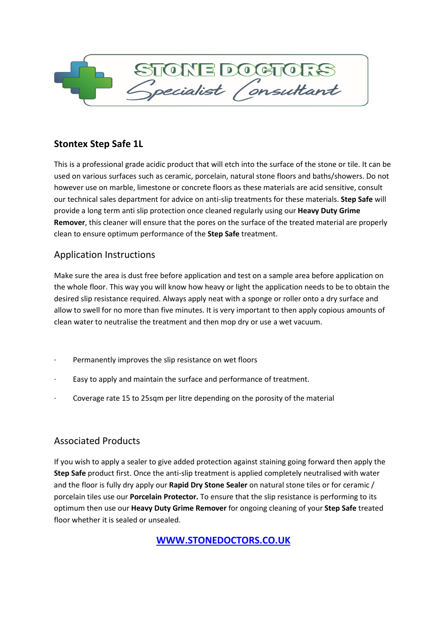

# **Stontex Step Safe 1L**

This is a professional grade acidic product that will etch into the surface of the stone or tile. It can be used on various surfaces such as ceramic, porcelain, natural stone floors and baths/showers. Do not however use on marble, limestone or concrete floors as these materials are acid sensitive, consult our technical sales department for advice on anti-slip treatments for these materials. **Step Safe** will provide a long term anti slip protection once cleaned regularly using our **Heavy Duty Grime Remover**, this cleaner will ensure that the pores on the surface of the treated material are properly clean to ensure optimum performance of the **Step Safe** treatment.

## Application Instructions

Make sure the area is dust free before application and test on a sample area before application on the whole floor. This way you will know how heavy or light the application needs to be to obtain the desired slip resistance required. Always apply neat with a sponge or roller onto a dry surface and allow to swell for no more than five minutes. It is very important to then apply copious amounts of clean water to neutralise the treatment and then mop dry or use a wet vacuum.

- Permanently improves the slip resistance on wet floors
- Easy to apply and maintain the surface and performance of treatment.
- Coverage rate 15 to 25sqm per litre depending on the porosity of the material

## Associated Products

If you wish to apply a sealer to give added protection against staining going forward then apply the **Step Safe** product first. Once the anti-slip treatment is applied completely neutralised with water and the floor is fully dry apply our **Rapid Dry Stone Sealer** on natural stone tiles or for ceramic / porcelain tiles use our **Porcelain Protector.** To ensure that the slip resistance is performing to its optimum then use our **Heavy Duty Grime Remover** for ongoing cleaning of your **Step Safe** treated floor whether it is sealed or unsealed.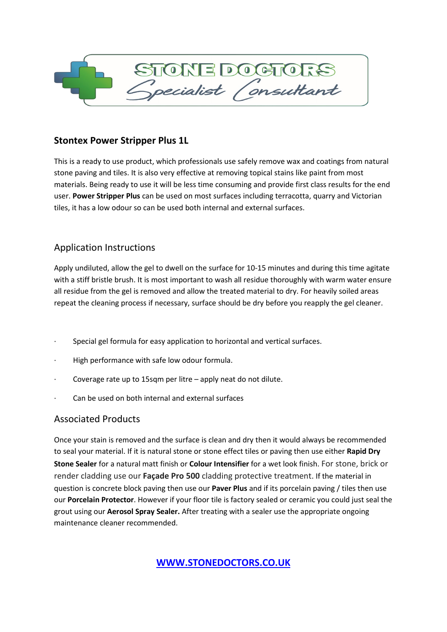

## **Stontex Power Stripper Plus 1L**

This is a ready to use product, which professionals use safely remove wax and coatings from natural stone paving and tiles. It is also very effective at removing topical stains like paint from most materials. Being ready to use it will be less time consuming and provide first class results for the end user. **Power Stripper Plus** can be used on most surfaces including terracotta, quarry and Victorian tiles, it has a low odour so can be used both internal and external surfaces.

## Application Instructions

Apply undiluted, allow the gel to dwell on the surface for 10-15 minutes and during this time agitate with a stiff bristle brush. It is most important to wash all residue thoroughly with warm water ensure all residue from the gel is removed and allow the treated material to dry. For heavily soiled areas repeat the cleaning process if necessary, surface should be dry before you reapply the gel cleaner.

- Special gel formula for easy application to horizontal and vertical surfaces.
- · High performance with safe low odour formula.
- · Coverage rate up to 15sqm per litre apply neat do not dilute.
- Can be used on both internal and external surfaces

## Associated Products

Once your stain is removed and the surface is clean and dry then it would always be recommended to seal your material. If it is natural stone or stone effect tiles or paving then use either **Rapid Dry Stone Sealer** for a natural matt finish or **Colour Intensifier** for a wet look finish. For stone, brick or render cladding use our **Façade Pro 500** cladding protective treatment. If the material in question is concrete block paving then use our **Paver Plus** and if its porcelain paving / tiles then use our **Porcelain Protector**. However if your floor tile is factory sealed or ceramic you could just seal the grout using our **Aerosol Spray Sealer.** After treating with a sealer use the appropriate ongoing maintenance cleaner recommended.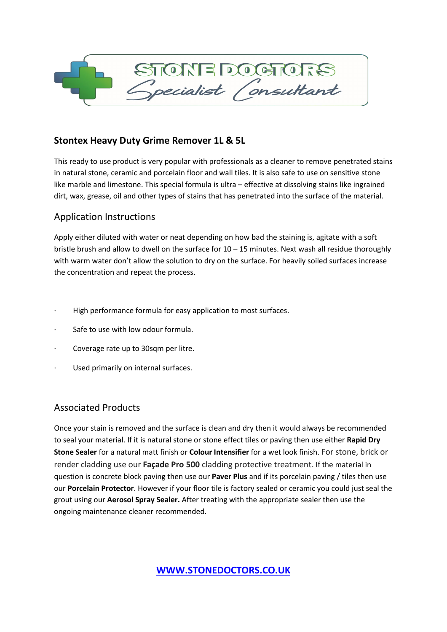

## **Stontex Heavy Duty Grime Remover 1L & 5L**

This ready to use product is very popular with professionals as a cleaner to remove penetrated stains in natural stone, ceramic and porcelain floor and wall tiles. It is also safe to use on sensitive stone like marble and limestone. This special formula is ultra – effective at dissolving stains like ingrained dirt, wax, grease, oil and other types of stains that has penetrated into the surface of the material.

### Application Instructions

Apply either diluted with water or neat depending on how bad the staining is, agitate with a soft bristle brush and allow to dwell on the surface for  $10 - 15$  minutes. Next wash all residue thoroughly with warm water don't allow the solution to dry on the surface. For heavily soiled surfaces increase the concentration and repeat the process.

- High performance formula for easy application to most surfaces.
- · Safe to use with low odour formula.
- · Coverage rate up to 30sqm per litre.
- Used primarily on internal surfaces.

### Associated Products

Once your stain is removed and the surface is clean and dry then it would always be recommended to seal your material. If it is natural stone or stone effect tiles or paving then use either **Rapid Dry Stone Sealer** for a natural matt finish or **Colour Intensifier** for a wet look finish. For stone, brick or render cladding use our **Façade Pro 500** cladding protective treatment. If the material in question is concrete block paving then use our **Paver Plus** and if its porcelain paving / tiles then use our **Porcelain Protector**. However if your floor tile is factory sealed or ceramic you could just seal the grout using our **Aerosol Spray Sealer.** After treating with the appropriate sealer then use the ongoing maintenance cleaner recommended.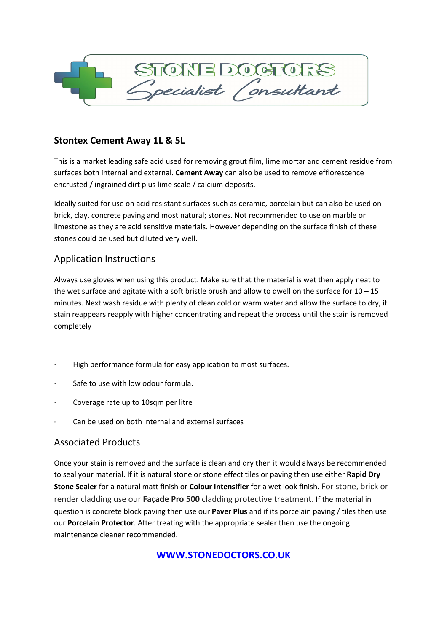

## **Stontex Cement Away 1L & 5L**

This is a market leading safe acid used for removing grout film, lime mortar and cement residue from surfaces both internal and external. **Cement Away** can also be used to remove efflorescence encrusted / ingrained dirt plus lime scale / calcium deposits.

Ideally suited for use on acid resistant surfaces such as ceramic, porcelain but can also be used on brick, clay, concrete paving and most natural; stones. Not recommended to use on marble or limestone as they are acid sensitive materials. However depending on the surface finish of these stones could be used but diluted very well.

### Application Instructions

Always use gloves when using this product. Make sure that the material is wet then apply neat to the wet surface and agitate with a soft bristle brush and allow to dwell on the surface for  $10 - 15$ minutes. Next wash residue with plenty of clean cold or warm water and allow the surface to dry, if stain reappears reapply with higher concentrating and repeat the process until the stain is removed completely

- High performance formula for easy application to most surfaces.
- Safe to use with low odour formula.
- Coverage rate up to 10sqm per litre
- Can be used on both internal and external surfaces

## Associated Products

Once your stain is removed and the surface is clean and dry then it would always be recommended to seal your material. If it is natural stone or stone effect tiles or paving then use either **Rapid Dry Stone Sealer** for a natural matt finish or **Colour Intensifier** for a wet look finish. For stone, brick or render cladding use our **Façade Pro 500** cladding protective treatment. If the material in question is concrete block paving then use our **Paver Plus** and if its porcelain paving / tiles then use our **Porcelain Protector**. After treating with the appropriate sealer then use the ongoing maintenance cleaner recommended.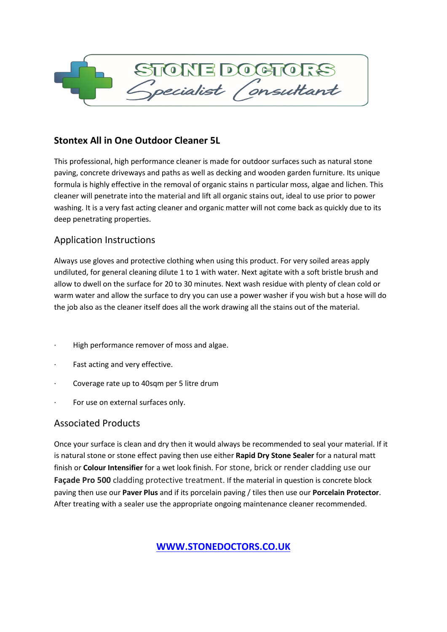

## **Stontex All in One Outdoor Cleaner 5L**

This professional, high performance cleaner is made for outdoor surfaces such as natural stone paving, concrete driveways and paths as well as decking and wooden garden furniture. Its unique formula is highly effective in the removal of organic stains n particular moss, algae and lichen. This cleaner will penetrate into the material and lift all organic stains out, ideal to use prior to power washing. It is a very fast acting cleaner and organic matter will not come back as quickly due to its deep penetrating properties.

## Application Instructions

Always use gloves and protective clothing when using this product. For very soiled areas apply undiluted, for general cleaning dilute 1 to 1 with water. Next agitate with a soft bristle brush and allow to dwell on the surface for 20 to 30 minutes. Next wash residue with plenty of clean cold or warm water and allow the surface to dry you can use a power washer if you wish but a hose will do the job also as the cleaner itself does all the work drawing all the stains out of the material.

- · High performance remover of moss and algae.
- Fast acting and very effective.
- Coverage rate up to 40sqm per 5 litre drum
- For use on external surfaces only.

## Associated Products

Once your surface is clean and dry then it would always be recommended to seal your material. If it is natural stone or stone effect paving then use either **Rapid Dry Stone Sealer** for a natural matt finish or **Colour Intensifier** for a wet look finish. For stone, brick or render cladding use our **Façade Pro 500** cladding protective treatment. If the material in question is concrete block paving then use our **Paver Plus** and if its porcelain paving / tiles then use our **Porcelain Protector**. After treating with a sealer use the appropriate ongoing maintenance cleaner recommended.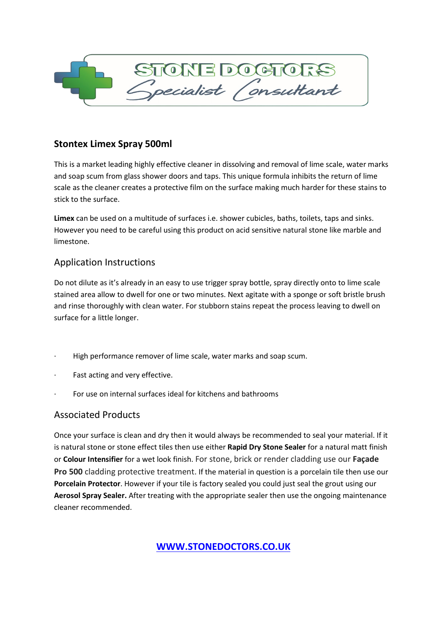

## **Stontex Limex Spray 500ml**

This is a market leading highly effective cleaner in dissolving and removal of lime scale, water marks and soap scum from glass shower doors and taps. This unique formula inhibits the return of lime scale as the cleaner creates a protective film on the surface making much harder for these stains to stick to the surface.

**Limex** can be used on a multitude of surfaces i.e. shower cubicles, baths, toilets, taps and sinks. However you need to be careful using this product on acid sensitive natural stone like marble and limestone.

## Application Instructions

Do not dilute as it's already in an easy to use trigger spray bottle, spray directly onto to lime scale stained area allow to dwell for one or two minutes. Next agitate with a sponge or soft bristle brush and rinse thoroughly with clean water. For stubborn stains repeat the process leaving to dwell on surface for a little longer.

- High performance remover of lime scale, water marks and soap scum.
- Fast acting and very effective.
- For use on internal surfaces ideal for kitchens and bathrooms

## Associated Products

Once your surface is clean and dry then it would always be recommended to seal your material. If it is natural stone or stone effect tiles then use either **Rapid Dry Stone Sealer** for a natural matt finish or **Colour Intensifier** for a wet look finish. For stone, brick or render cladding use our **Façade Pro 500** cladding protective treatment. If the material in question is a porcelain tile then use our **Porcelain Protector**. However if your tile is factory sealed you could just seal the grout using our **Aerosol Spray Sealer.** After treating with the appropriate sealer then use the ongoing maintenance cleaner recommended.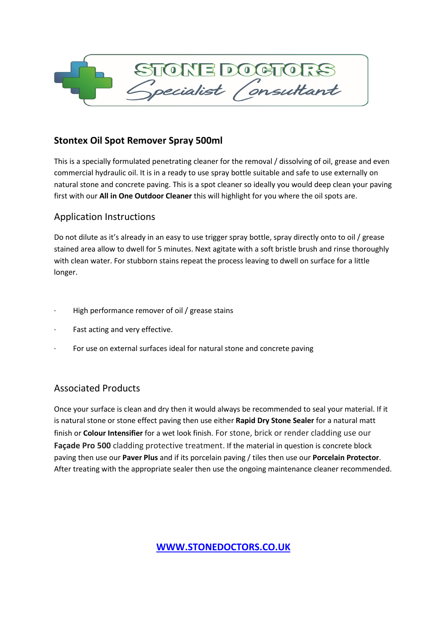

## **Stontex Oil Spot Remover Spray 500ml**

This is a specially formulated penetrating cleaner for the removal / dissolving of oil, grease and even commercial hydraulic oil. It is in a ready to use spray bottle suitable and safe to use externally on natural stone and concrete paving. This is a spot cleaner so ideally you would deep clean your paving first with our **All in One Outdoor Cleaner** this will highlight for you where the oil spots are.

## Application Instructions

Do not dilute as it's already in an easy to use trigger spray bottle, spray directly onto to oil / grease stained area allow to dwell for 5 minutes. Next agitate with a soft bristle brush and rinse thoroughly with clean water. For stubborn stains repeat the process leaving to dwell on surface for a little longer.

- High performance remover of oil / grease stains
- Fast acting and very effective.
- For use on external surfaces ideal for natural stone and concrete paving

# Associated Products

Once your surface is clean and dry then it would always be recommended to seal your material. If it is natural stone or stone effect paving then use either **Rapid Dry Stone Sealer** for a natural matt finish or **Colour Intensifier** for a wet look finish. For stone, brick or render cladding use our **Façade Pro 500** cladding protective treatment. If the material in question is concrete block paving then use our **Paver Plus** and if its porcelain paving / tiles then use our **Porcelain Protector**. After treating with the appropriate sealer then use the ongoing maintenance cleaner recommended.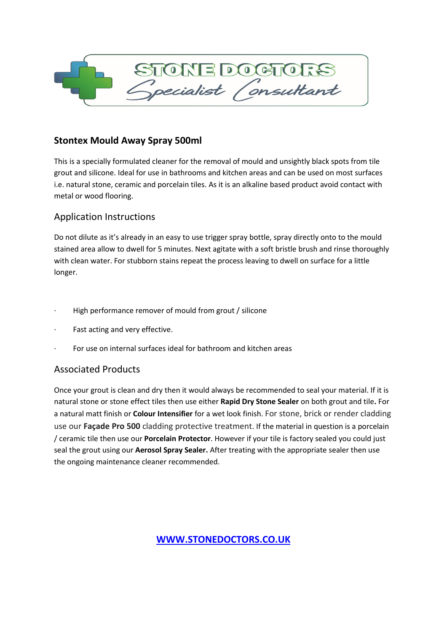

## **Stontex Mould Away Spray 500ml**

This is a specially formulated cleaner for the removal of mould and unsightly black spots from tile grout and silicone. Ideal for use in bathrooms and kitchen areas and can be used on most surfaces i.e. natural stone, ceramic and porcelain tiles. As it is an alkaline based product avoid contact with metal or wood flooring.

## Application Instructions

Do not dilute as it's already in an easy to use trigger spray bottle, spray directly onto to the mould stained area allow to dwell for 5 minutes. Next agitate with a soft bristle brush and rinse thoroughly with clean water. For stubborn stains repeat the process leaving to dwell on surface for a little longer.

- High performance remover of mould from grout / silicone
- Fast acting and very effective.
- · For use on internal surfaces ideal for bathroom and kitchen areas

## Associated Products

Once your grout is clean and dry then it would always be recommended to seal your material. If it is natural stone or stone effect tiles then use either **Rapid Dry Stone Sealer** on both grout and tile**.** For a natural matt finish or **Colour Intensifier** for a wet look finish. For stone, brick or render cladding use our **Façade Pro 500** cladding protective treatment. If the material in question is a porcelain / ceramic tile then use our **Porcelain Protector**. However if your tile is factory sealed you could just seal the grout using our **Aerosol Spray Sealer.** After treating with the appropriate sealer then use the ongoing maintenance cleaner recommended.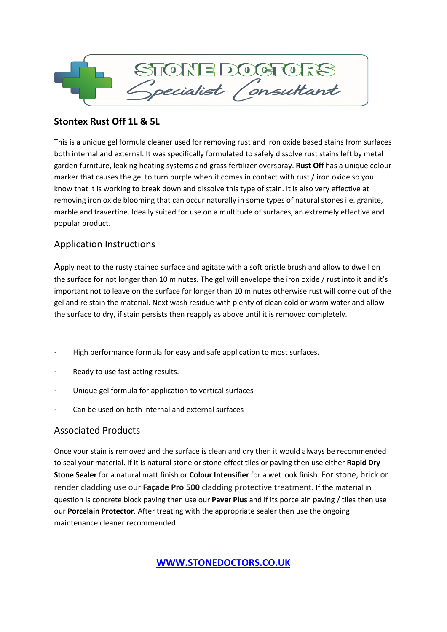

## **Stontex Rust Off 1L & 5L**

This is a unique gel formula cleaner used for removing rust and iron oxide based stains from surfaces both internal and external. It was specifically formulated to safely dissolve rust stains left by metal garden furniture, leaking heating systems and grass fertilizer overspray. **Rust Off** has a unique colour marker that causes the gel to turn purple when it comes in contact with rust / iron oxide so you know that it is working to break down and dissolve this type of stain. It is also very effective at removing iron oxide blooming that can occur naturally in some types of natural stones i.e. granite, marble and travertine. Ideally suited for use on a multitude of surfaces, an extremely effective and popular product.

## Application Instructions

Apply neat to the rusty stained surface and agitate with a soft bristle brush and allow to dwell on the surface for not longer than 10 minutes. The gel will envelope the iron oxide / rust into it and it's important not to leave on the surface for longer than 10 minutes otherwise rust will come out of the gel and re stain the material. Next wash residue with plenty of clean cold or warm water and allow the surface to dry, if stain persists then reapply as above until it is removed completely.

- High performance formula for easy and safe application to most surfaces.
- Ready to use fast acting results.
- Unique gel formula for application to vertical surfaces
- Can be used on both internal and external surfaces

## Associated Products

Once your stain is removed and the surface is clean and dry then it would always be recommended to seal your material. If it is natural stone or stone effect tiles or paving then use either **Rapid Dry Stone Sealer** for a natural matt finish or **Colour Intensifier** for a wet look finish. For stone, brick or render cladding use our **Façade Pro 500** cladding protective treatment. If the material in question is concrete block paving then use our **Paver Plus** and if its porcelain paving / tiles then use our **Porcelain Protector**. After treating with the appropriate sealer then use the ongoing maintenance cleaner recommended.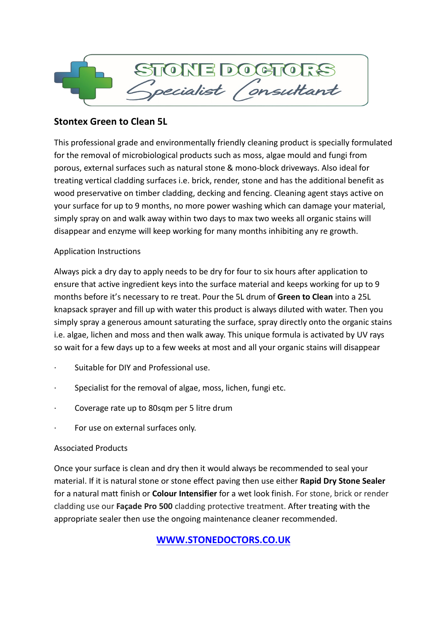

## **Stontex Green to Clean 5L**

This professional grade and environmentally friendly cleaning product is specially formulated for the removal of microbiological products such as moss, algae mould and fungi from porous, external surfaces such as natural stone & mono-block driveways. Also ideal for treating vertical cladding surfaces i.e. brick, render, stone and has the additional benefit as wood preservative on timber cladding, decking and fencing. Cleaning agent stays active on your surface for up to 9 months, no more power washing which can damage your material, simply spray on and walk away within two days to max two weeks all organic stains will disappear and enzyme will keep working for many months inhibiting any re growth.

### Application Instructions

Always pick a dry day to apply needs to be dry for four to six hours after application to ensure that active ingredient keys into the surface material and keeps working for up to 9 months before it's necessary to re treat. Pour the 5L drum of **Green to Clean** into a 25L knapsack sprayer and fill up with water this product is always diluted with water. Then you simply spray a generous amount saturating the surface, spray directly onto the organic stains i.e. algae, lichen and moss and then walk away. This unique formula is activated by UV rays so wait for a few days up to a few weeks at most and all your organic stains will disappear

- · Suitable for DIY and Professional use.
- Specialist for the removal of algae, moss, lichen, fungi etc.
- · Coverage rate up to 80sqm per 5 litre drum
- For use on external surfaces only.

### Associated Products

Once your surface is clean and dry then it would always be recommended to seal your material. If it is natural stone or stone effect paving then use either **Rapid Dry Stone Sealer** for a natural matt finish or **Colour Intensifier** for a wet look finish. For stone, brick or render cladding use our **Façade Pro 500** cladding protective treatment. After treating with the appropriate sealer then use the ongoing maintenance cleaner recommended.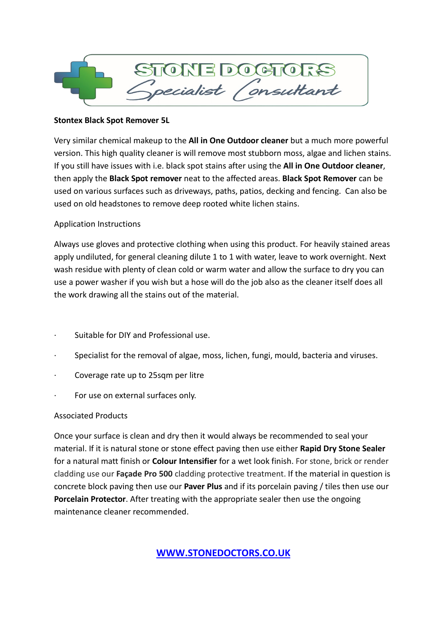

#### **Stontex Black Spot Remover 5L**

Very similar chemical makeup to the **All in One Outdoor cleaner** but a much more powerful version. This high quality cleaner is will remove most stubborn moss, algae and lichen stains. If you still have issues with i.e. black spot stains after using the **All in One Outdoor cleaner**, then apply the **Black Spot remover** neat to the affected areas. **Black Spot Remover** can be used on various surfaces such as driveways, paths, patios, decking and fencing. Can also be used on old headstones to remove deep rooted white lichen stains.

#### Application Instructions

Always use gloves and protective clothing when using this product. For heavily stained areas apply undiluted, for general cleaning dilute 1 to 1 with water, leave to work overnight. Next wash residue with plenty of clean cold or warm water and allow the surface to dry you can use a power washer if you wish but a hose will do the job also as the cleaner itself does all the work drawing all the stains out of the material.

- · Suitable for DIY and Professional use.
- · Specialist for the removal of algae, moss, lichen, fungi, mould, bacteria and viruses.
- · Coverage rate up to 25sqm per litre
- For use on external surfaces only.

### Associated Products

Once your surface is clean and dry then it would always be recommended to seal your material. If it is natural stone or stone effect paving then use either **Rapid Dry Stone Sealer** for a natural matt finish or **Colour Intensifier** for a wet look finish. For stone, brick or render cladding use our **Façade Pro 500** cladding protective treatment. If the material in question is concrete block paving then use our **Paver Plus** and if its porcelain paving / tiles then use our **Porcelain Protector**. After treating with the appropriate sealer then use the ongoing maintenance cleaner recommended.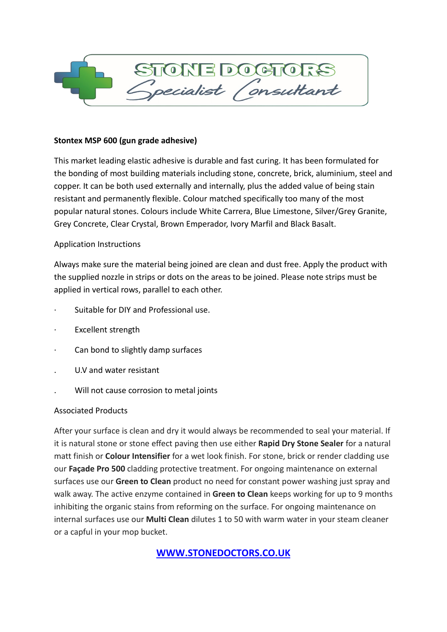

#### **Stontex MSP 600 (gun grade adhesive)**

This market leading elastic adhesive is durable and fast curing. It has been formulated for the bonding of most building materials including stone, concrete, brick, aluminium, steel and copper. It can be both used externally and internally, plus the added value of being stain resistant and permanently flexible. Colour matched specifically too many of the most popular natural stones. Colours include White Carrera, Blue Limestone, Silver/Grey Granite, Grey Concrete, Clear Crystal, Brown Emperador, Ivory Marfil and Black Basalt.

#### Application Instructions

Always make sure the material being joined are clean and dust free. Apply the product with the supplied nozzle in strips or dots on the areas to be joined. Please note strips must be applied in vertical rows, parallel to each other.

- · Suitable for DIY and Professional use.
- Excellent strength
- Can bond to slightly damp surfaces
- . U.V and water resistant
- . Will not cause corrosion to metal joints

#### Associated Products

After your surface is clean and dry it would always be recommended to seal your material. If it is natural stone or stone effect paving then use either **Rapid Dry Stone Sealer** for a natural matt finish or **Colour Intensifier** for a wet look finish. For stone, brick or render cladding use our **Façade Pro 500** cladding protective treatment. For ongoing maintenance on external surfaces use our **Green to Clean** product no need for constant power washing just spray and walk away. The active enzyme contained in **Green to Clean** keeps working for up to 9 months inhibiting the organic stains from reforming on the surface. For ongoing maintenance on internal surfaces use our **Multi Clean** dilutes 1 to 50 with warm water in your steam cleaner or a capful in your mop bucket.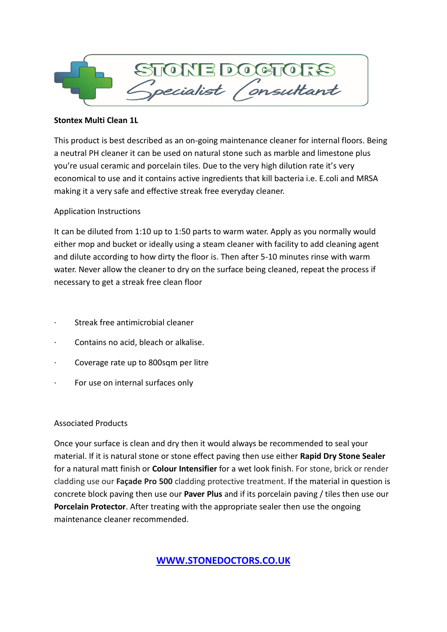

#### **Stontex Multi Clean 1L**

This product is best described as an on-going maintenance cleaner for internal floors. Being a neutral PH cleaner it can be used on natural stone such as marble and limestone plus you're usual ceramic and porcelain tiles. Due to the very high dilution rate it's very economical to use and it contains active ingredients that kill bacteria i.e. E.coli and MRSA making it a very safe and effective streak free everyday cleaner.

#### Application Instructions

It can be diluted from 1:10 up to 1:50 parts to warm water. Apply as you normally would either mop and bucket or ideally using a steam cleaner with facility to add cleaning agent and dilute according to how dirty the floor is. Then after 5-10 minutes rinse with warm water. Never allow the cleaner to dry on the surface being cleaned, repeat the process if necessary to get a streak free clean floor

- Streak free antimicrobial cleaner
- · Contains no acid, bleach or alkalise.
- · Coverage rate up to 800sqm per litre
- For use on internal surfaces only

### Associated Products

Once your surface is clean and dry then it would always be recommended to seal your material. If it is natural stone or stone effect paving then use either **Rapid Dry Stone Sealer** for a natural matt finish or **Colour Intensifier** for a wet look finish. For stone, brick or render cladding use our **Façade Pro 500** cladding protective treatment. If the material in question is concrete block paving then use our **Paver Plus** and if its porcelain paving / tiles then use our **Porcelain Protector**. After treating with the appropriate sealer then use the ongoing maintenance cleaner recommended.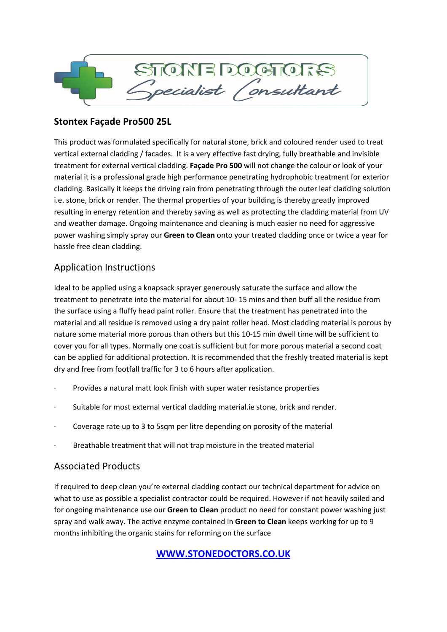

## **Stontex Façade Pro500 25L**

This product was formulated specifically for natural stone, brick and coloured render used to treat vertical external cladding / facades. It is a very effective fast drying, fully breathable and invisible treatment for external vertical cladding. **Façade Pro 500** will not change the colour or look of your material it is a professional grade high performance penetrating hydrophobic treatment for exterior cladding. Basically it keeps the driving rain from penetrating through the outer leaf cladding solution i.e. stone, brick or render. The thermal properties of your building is thereby greatly improved resulting in energy retention and thereby saving as well as protecting the cladding material from UV and weather damage. Ongoing maintenance and cleaning is much easier no need for aggressive power washing simply spray our **Green to Clean** onto your treated cladding once or twice a year for hassle free clean cladding.

# Application Instructions

Ideal to be applied using a knapsack sprayer generously saturate the surface and allow the treatment to penetrate into the material for about 10- 15 mins and then buff all the residue from the surface using a fluffy head paint roller. Ensure that the treatment has penetrated into the material and all residue is removed using a dry paint roller head. Most cladding material is porous by nature some material more porous than others but this 10-15 min dwell time will be sufficient to cover you for all types. Normally one coat is sufficient but for more porous material a second coat can be applied for additional protection. It is recommended that the freshly treated material is kept dry and free from footfall traffic for 3 to 6 hours after application.

- Provides a natural matt look finish with super water resistance properties
- · Suitable for most external vertical cladding material.ie stone, brick and render.
- Coverage rate up to 3 to 5sqm per litre depending on porosity of the material
- Breathable treatment that will not trap moisture in the treated material

## Associated Products

If required to deep clean you're external cladding contact our technical department for advice on what to use as possible a specialist contractor could be required. However if not heavily soiled and for ongoing maintenance use our **Green to Clean** product no need for constant power washing just spray and walk away. The active enzyme contained in **Green to Clean** keeps working for up to 9 months inhibiting the organic stains for reforming on the surface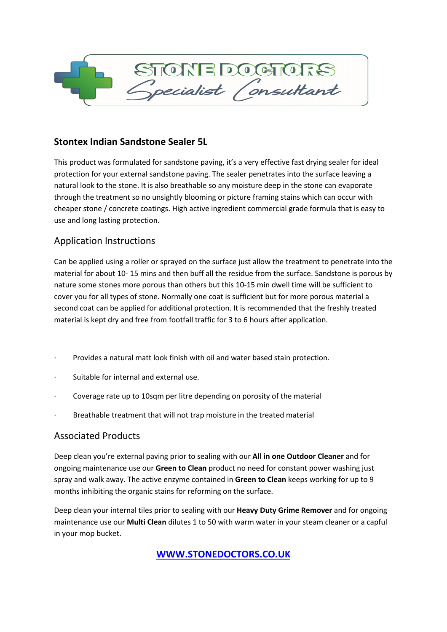

## **Stontex Indian Sandstone Sealer 5L**

This product was formulated for sandstone paving, it's a very effective fast drying sealer for ideal protection for your external sandstone paving. The sealer penetrates into the surface leaving a natural look to the stone. It is also breathable so any moisture deep in the stone can evaporate through the treatment so no unsightly blooming or picture framing stains which can occur with cheaper stone / concrete coatings. High active ingredient commercial grade formula that is easy to use and long lasting protection.

## Application Instructions

Can be applied using a roller or sprayed on the surface just allow the treatment to penetrate into the material for about 10- 15 mins and then buff all the residue from the surface. Sandstone is porous by nature some stones more porous than others but this 10-15 min dwell time will be sufficient to cover you for all types of stone. Normally one coat is sufficient but for more porous material a second coat can be applied for additional protection. It is recommended that the freshly treated material is kept dry and free from footfall traffic for 3 to 6 hours after application.

- Provides a natural matt look finish with oil and water based stain protection.
- · Suitable for internal and external use.
- Coverage rate up to 10sqm per litre depending on porosity of the material
- Breathable treatment that will not trap moisture in the treated material

## Associated Products

Deep clean you're external paving prior to sealing with our **All in one Outdoor Cleaner** and for ongoing maintenance use our **Green to Clean** product no need for constant power washing just spray and walk away. The active enzyme contained in **Green to Clean** keeps working for up to 9 months inhibiting the organic stains for reforming on the surface.

Deep clean your internal tiles prior to sealing with our **Heavy Duty Grime Remover** and for ongoing maintenance use our **Multi Clean** dilutes 1 to 50 with warm water in your steam cleaner or a capful in your mop bucket.